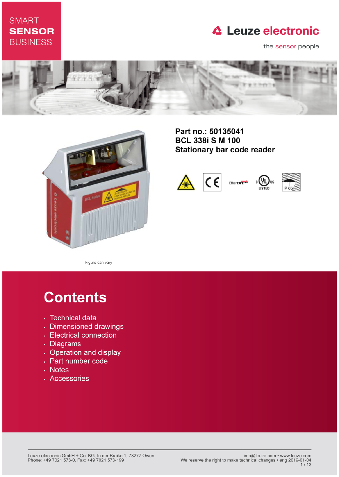## **SMART SENSOR BUSINESS**

# **△ Leuze electronic**

the sensor people





Part no.: 50135041 **BCL 338i S M 100 Stationary bar code reader** 



Figure can vary

# **Contents**

- · Technical data
- · Dimensioned drawings
- Electrical connection
- . Diagrams
- Operation and display
- Part number code
- Notes
- · Accessories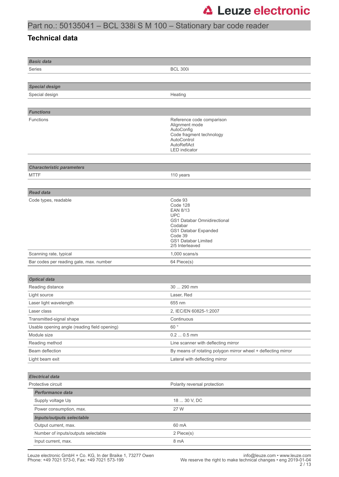## Part no.: 50135041 – BCL 338i S M 100 – Stationary bar code reader

### **Technical data**

| <b>Basic data</b>                            |                                                                                                                                                                             |
|----------------------------------------------|-----------------------------------------------------------------------------------------------------------------------------------------------------------------------------|
| Series                                       | <b>BCL 300i</b>                                                                                                                                                             |
|                                              |                                                                                                                                                                             |
| <b>Special design</b>                        |                                                                                                                                                                             |
| Special design                               | Heating                                                                                                                                                                     |
|                                              |                                                                                                                                                                             |
| <b>Functions</b>                             |                                                                                                                                                                             |
| <b>Functions</b>                             | Reference code comparison<br>Alignment mode<br>AutoConfig<br>Code fragment technology<br>AutoControl<br>AutoReflAct<br><b>LED</b> indicator                                 |
| <b>Characteristic parameters</b>             |                                                                                                                                                                             |
| <b>MTTF</b>                                  | 110 years                                                                                                                                                                   |
|                                              |                                                                                                                                                                             |
| <b>Read data</b>                             |                                                                                                                                                                             |
| Code types, readable                         | Code 93<br>Code 128<br>EAN 8/13<br><b>UPC</b><br>GS1 Databar Omnidirectional<br>Codabar<br>GS1 Databar Expanded<br>Code 39<br><b>GS1 Databar Limited</b><br>2/5 Interleaved |
| Scanning rate, typical                       | $1,000$ scans/s                                                                                                                                                             |
| Bar codes per reading gate, max. number      | 64 Piece(s)                                                                                                                                                                 |
|                                              |                                                                                                                                                                             |
| <b>Optical data</b>                          |                                                                                                                                                                             |
| Reading distance                             | 30  290 mm                                                                                                                                                                  |
| Light source                                 | Laser, Red                                                                                                                                                                  |
| Laser light wavelength                       | 655 nm                                                                                                                                                                      |
| Laser class                                  | 2, IEC/EN 60825-1:2007                                                                                                                                                      |
| Transmitted-signal shape                     | Continuous                                                                                                                                                                  |
| Usable opening angle (reading field opening) | 60°                                                                                                                                                                         |
| Module size                                  | $0.20.5$ mm                                                                                                                                                                 |
| Reading method<br>Beam deflection            | Line scanner with deflecting mirror                                                                                                                                         |
| Light beam exit                              | By means of rotating polygon mirror wheel + deflecting mirror<br>Lateral with deflecting mirror                                                                             |
|                                              |                                                                                                                                                                             |
| <b>Electrical data</b>                       |                                                                                                                                                                             |
| Protective circuit                           | Polarity reversal protection                                                                                                                                                |
| Performance data                             |                                                                                                                                                                             |
| Supply voltage U <sub>B</sub>                | 18  30 V, DC                                                                                                                                                                |
| Power consumption, max.                      | 27 W                                                                                                                                                                        |
| <b>Inputs/outputs selectable</b>             |                                                                                                                                                                             |
| Output current, max.                         | 60 mA                                                                                                                                                                       |
| Number of inputs/outputs selectable          | 2 Piece(s)                                                                                                                                                                  |
| Input current, max.                          | 8 mA                                                                                                                                                                        |
|                                              |                                                                                                                                                                             |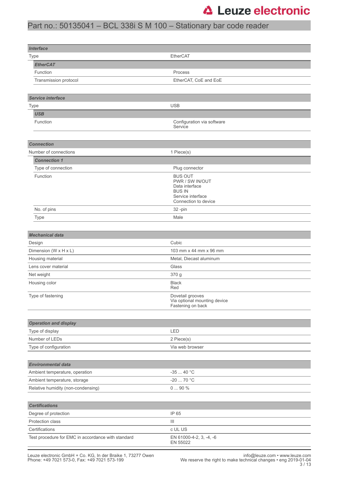## Part no.: 50135041 – BCL 338i S M 100 – Stationary bar code reader

| <b>Interface</b>                                   |                                                  |
|----------------------------------------------------|--------------------------------------------------|
| Type                                               | EtherCAT                                         |
| <b>EtherCAT</b>                                    |                                                  |
| Function                                           | Process                                          |
| Transmission protocol                              | EtherCAT, CoE and EoE                            |
|                                                    |                                                  |
| Service interface                                  |                                                  |
| Type                                               | <b>USB</b>                                       |
| <b>USB</b>                                         |                                                  |
| Function                                           | Configuration via software                       |
|                                                    | Service                                          |
|                                                    |                                                  |
| <b>Connection</b>                                  |                                                  |
| Number of connections                              | 1 Piece(s)                                       |
| <b>Connection 1</b>                                |                                                  |
| Type of connection                                 | Plug connector                                   |
| Function                                           | <b>BUS OUT</b><br>PWR / SW IN/OUT                |
|                                                    | Data interface                                   |
|                                                    | <b>BUS IN</b><br>Service interface               |
|                                                    | Connection to device                             |
| No. of pins                                        | 32 -pin                                          |
| Type                                               | Male                                             |
|                                                    |                                                  |
| <b>Mechanical data</b>                             |                                                  |
| Design                                             | Cubic                                            |
| Dimension (W x H x L)                              | 103 mm x 44 mm x 96 mm                           |
| Housing material                                   | Metal, Diecast aluminum                          |
| Lens cover material                                | Glass                                            |
| Net weight                                         | 370 g                                            |
| Housing color                                      | <b>Black</b><br>Red                              |
| Type of fastening                                  | Dovetail grooves<br>Via optional mounting device |
|                                                    | Fastening on back                                |
|                                                    |                                                  |
| <b>Operation and display</b>                       |                                                  |
| Type of display                                    | LED                                              |
| Number of LEDs                                     | 2 Piece(s)                                       |
| Type of configuration                              | Via web browser                                  |
|                                                    |                                                  |
| <b>Environmental data</b>                          |                                                  |
| Ambient temperature, operation                     | $-3540 °C$                                       |
| Ambient temperature, storage                       | $-20$ 70 °C                                      |
| Relative humidity (non-condensing)                 | $090%$                                           |
|                                                    |                                                  |
| <b>Certifications</b>                              |                                                  |
| Degree of protection                               | IP 65                                            |
| Protection class                                   | Ш                                                |
| Certifications                                     | c UL US                                          |
| Test procedure for EMC in accordance with standard | EN 61000-4-2, 3, -4, -6                          |
|                                                    | EN 55022                                         |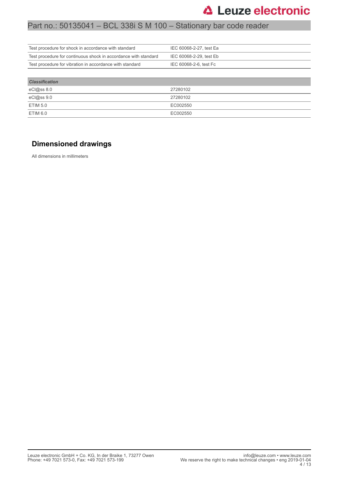### Part no.: 50135041 – BCL 338i S M 100 – Stationary bar code reader

| Test procedure for shock in accordance with standard            | IEC 60068-2-27, test Ea |
|-----------------------------------------------------------------|-------------------------|
| Test procedure for continuous shock in accordance with standard | IEC 60068-2-29, test Eb |
| Test procedure for vibration in accordance with standard        | IEC 60068-2-6, test Fc  |
|                                                                 |                         |
| <b>Classification</b>                                           |                         |

| eCl@ss 8.0 | 27280102 |
|------------|----------|
| eCl@ss 9.0 | 27280102 |
| ETIM 5.0   | EC002550 |
| ETIM 6.0   | EC002550 |

### **Dimensioned drawings**

All dimensions in millimeters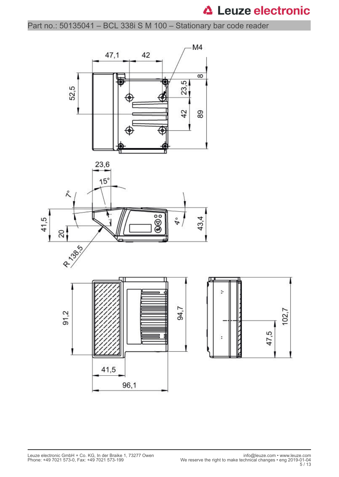Part no.: 50135041 – BCL 338i S M 100 – Stationary bar code reader

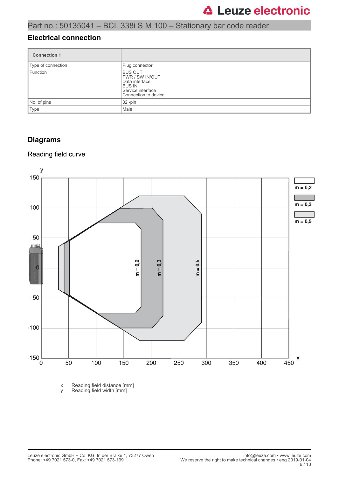### **Electrical connection**

| <b>Connection 1</b> |                                                                                                                          |
|---------------------|--------------------------------------------------------------------------------------------------------------------------|
| Type of connection  | Plug connector                                                                                                           |
| Function            | <b>BUS OUT</b><br><b>PWR / SW IN/OUT</b><br>Data interface<br><b>BUS IN</b><br>Service interface<br>Connection to device |
| No. of pins         | $32 - pin$                                                                                                               |
| Type                | Male                                                                                                                     |

### **Diagrams**

### Reading field curve



x Reading field distance [mm]

y Reading field width [mm]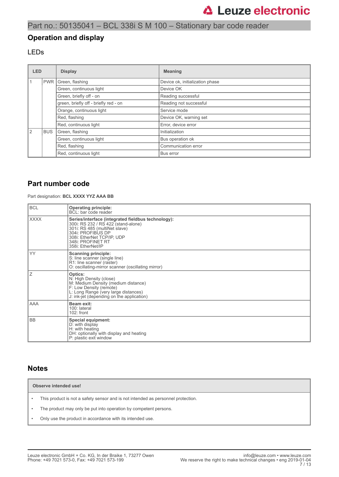### **Operation and display**

### LEDs

| <b>LED</b>    | <b>Display</b> |                                       | <b>Meaning</b>                  |
|---------------|----------------|---------------------------------------|---------------------------------|
|               | <b>PWR</b>     | Green, flashing                       | Device ok, initialization phase |
|               |                | Green, continuous light               | Device OK                       |
|               |                | Green, briefly off - on               | Reading successful              |
|               |                | green, briefly off - briefly red - on | Reading not successful          |
|               |                | Orange, continuous light              | Service mode                    |
|               |                | Red, flashing                         | Device OK, warning set          |
|               |                | Red, continuous light                 | Error, device error             |
| $\mathcal{P}$ | <b>BUS</b>     | Green, flashing                       | Initialization                  |
|               |                | Green, continuous light               | Bus operation ok                |
|               |                | Red, flashing                         | Communication error             |
|               |                | Red, continuous light                 | Bus error                       |

### **Part number code**

Part designation: **BCL XXXX YYZ AAA BB**

| <b>BCL</b>  | <b>Operating principle:</b><br>BCL: bar code reader                                                                                                                                                                     |
|-------------|-------------------------------------------------------------------------------------------------------------------------------------------------------------------------------------------------------------------------|
| <b>XXXX</b> | Series/interface (integrated fieldbus technology):<br>300i: RS 232 / RS 422 (stand-alone)<br>301i: RS 485 (multiNet slave)<br>304i: PROFIBUS DP<br>308i: EtherNet TCP/IP, UDP<br>348i: PROFINET RT<br>358i: EtherNet/IP |
| YY          | <b>Scanning principle:</b><br>S: line scanner (single line)<br>R1: line scanner (raster)<br>O: oscillating-mirror scanner (oscillating mirror)                                                                          |
| Ιz          | Optics:<br>N: High Density (close)<br>M: Medium Density (medium distance)<br>F: Low Density (remote)<br>L: Long Range (very large distances)<br>J: ink-jet (depending on the application)                               |
| <b>AAA</b>  | Beam exit:<br>100: lateral<br>102: front                                                                                                                                                                                |
| <b>BB</b>   | Special equipment:<br>D: with display<br>H: with heating<br>DH: optionally with display and heating<br>P: plastic exit window                                                                                           |

### **Notes**

**Observe intended use!**

- This product is not a safety sensor and is not intended as personnel protection.
- The product may only be put into operation by competent persons.
- Only use the product in accordance with its intended use.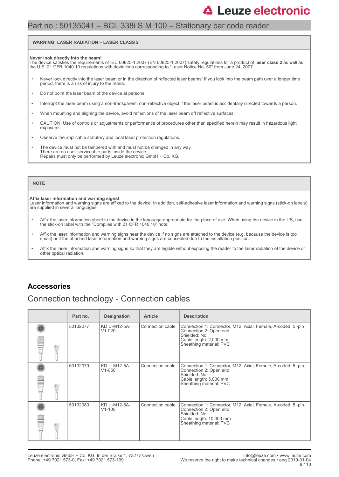## Part no.: 50135041 – BCL 338i S M 100 – Stationary bar code reader

#### **WARNING! LASER RADIATION – LASER CLASS 2**

#### **Never look directly into the beam!**

The device satisfies the requirements of IEC 60825-1:2007 (EN 60825-1:2007) safety regulations for a product of **laser class 2** as well as<br>the U.S. 21 CFR 1040.10 regulations with deviations corresponding to "Laser Notice

- Never look directly into the laser beam or in the direction of reflected laser beams! If you look into the beam path over a longer time period, there is a risk of injury to the retina.
- Do not point the laser beam of the device at persons!
- Interrupt the laser beam using a non-transparent, non-reflective object if the laser beam is accidentally directed towards a person.
- When mounting and aligning the device, avoid reflections of the laser beam off reflective surfaces!
- CAUTION! Use of controls or adjustments or performance of procedures other than specified herein may result in hazardous light exposure.
- Observe the applicable statutory and local laser protection regulations.
- The device must not be tampered with and must not be changed in any way. There are no user-serviceable parts inside the device. Repairs must only be performed by Leuze electronic GmbH + Co. KG.

#### **NOTE**

#### **Affix laser information and warning signs!**

Laser information and warning signs are affixed to the device. In addition, self-adhesive laser information and warning signs (stick-on labels) are supplied in several languages.

- Affix the laser information sheet to the device in the language appropriate for the place of use. When using the device in the US, use the stick-on label with the "Complies with 21 CFR 1040.10" note.
- Affix the laser information and warning signs near the device if no signs are attached to the device (e.g. because the device is too small) or if the attached laser information and warning signs are concealed due to the installation position.
- Affix the laser information and warning signs so that they are legible without exposing the reader to the laser radiation of the device or other optical radiation.

### **Accessories**

### Connection technology - Connection cables

|       | Part no. | <b>Designation</b>         | <b>Article</b>   | <b>Description</b>                                                                                                                                          |
|-------|----------|----------------------------|------------------|-------------------------------------------------------------------------------------------------------------------------------------------------------------|
| ALLI. | 50132077 | KD U-M12-5A-<br>$V1-020$   | Connection cable | Connection 1: Connector, M12, Axial, Female, A-coded, 5-pin<br>Connection 2: Open end<br>Shielded: No<br>Cable length: 2,000 mm<br>Sheathing material: PVC  |
| \HJ.  | 50132079 | KD U-M12-5A-<br>$V1 - 050$ | Connection cable | Connection 1: Connector, M12, Axial, Female, A-coded, 5-pin<br>Connection 2: Open end<br>Shielded: No<br>Cable length: 5,000 mm<br>Sheathing material: PVC  |
| ALLI. | 50132080 | KD U-M12-5A-<br>$V1 - 100$ | Connection cable | Connection 1: Connector, M12, Axial, Female, A-coded, 5-pin<br>Connection 2: Open end<br>Shielded: No<br>Cable length: 10,000 mm<br>Sheathing material: PVC |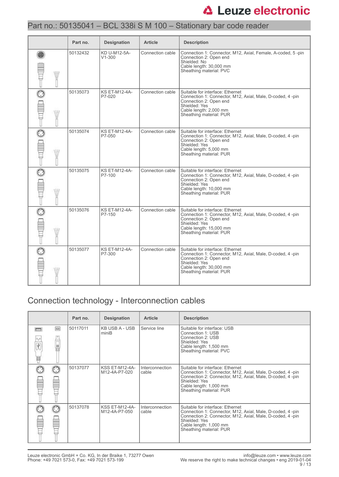### Part no.: 50135041 – BCL 338i S M 100 – Stationary bar code reader

|             | Part no. | <b>Designation</b>             | <b>Article</b>   | <b>Description</b>                                                                                                                                                                              |
|-------------|----------|--------------------------------|------------------|-------------------------------------------------------------------------------------------------------------------------------------------------------------------------------------------------|
| <b>ATIV</b> | 50132432 | KD U-M12-5A-<br>$V1 - 300$     | Connection cable | Connection 1: Connector, M12, Axial, Female, A-coded, 5-pin<br>Connection 2: Open end<br>Shielded: No<br>Cable length: 30,000 mm<br>Sheathing material: PVC                                     |
|             | 50135073 | <b>KS ET-M12-4A-</b><br>P7-020 | Connection cable | Suitable for interface: Ethernet<br>Connection 1: Connector, M12, Axial, Male, D-coded, 4-pin<br>Connection 2: Open end<br>Shielded: Yes<br>Cable length: 2,000 mm<br>Sheathing material: PUR   |
| W           | 50135074 | <b>KS ET-M12-4A-</b><br>P7-050 | Connection cable | Suitable for interface: Ethernet<br>Connection 1: Connector, M12, Axial, Male, D-coded, 4 -pin<br>Connection 2: Open end<br>Shielded: Yes<br>Cable length: 5,000 mm<br>Sheathing material: PUR  |
| W           | 50135075 | <b>KS ET-M12-4A-</b><br>P7-100 | Connection cable | Suitable for interface: Ethernet<br>Connection 1: Connector, M12, Axial, Male, D-coded, 4-pin<br>Connection 2: Open end<br>Shielded: Yes<br>Cable length: 10,000 mm<br>Sheathing material: PUR  |
| W           | 50135076 | <b>KS ET-M12-4A-</b><br>P7-150 | Connection cable | Suitable for interface: Ethernet<br>Connection 1: Connector, M12, Axial, Male, D-coded, 4-pin<br>Connection 2: Open end<br>Shielded: Yes<br>Cable length: 15,000 mm<br>Sheathing material: PUR  |
|             | 50135077 | <b>KS ET-M12-4A-</b><br>P7-300 | Connection cable | Suitable for interface: Ethernet<br>Connection 1: Connector, M12, Axial, Male, D-coded, 4 -pin<br>Connection 2: Open end<br>Shielded: Yes<br>Cable length: 30,000 mm<br>Sheathing material: PUR |

## Connection technology - Interconnection cables

|        |          | Part no. | <b>Designation</b>              | <b>Article</b>           | <b>Description</b>                                                                                                                                                                                                                |
|--------|----------|----------|---------------------------------|--------------------------|-----------------------------------------------------------------------------------------------------------------------------------------------------------------------------------------------------------------------------------|
| Ý<br>W | $\equiv$ | 50117011 | KB USB A - USB<br>miniB         | Service line             | Suitable for interface: USB<br>Connection 1: USB<br>Connection 2: USB<br>Shielded: Yes<br>Cable length: 1,500 mm<br>Sheathing material: PVC                                                                                       |
|        |          | 50137077 | KSS ET-M12-4A-<br>M12-4A-P7-020 | Interconnection<br>cable | Suitable for interface: Ethernet<br>Connection 1: Connector, M12, Axial, Male, D-coded, 4-pin<br>Connection 2: Connector, M12, Axial, Male, D-coded, 4 -pin<br>Shielded: Yes<br>Cable length: 1,000 mm<br>Sheathing material: PUR |
|        |          | 50137078 | KSS ET-M12-4A-<br>M12-4A-P7-050 | Interconnection<br>cable | Suitable for interface: Ethernet<br>Connection 1: Connector, M12, Axial, Male, D-coded, 4-pin<br>Connection 2: Connector, M12, Axial, Male, D-coded, 4-pin<br>Shielded: Yes<br>Cable length: 1,000 mm<br>Sheathing material: PUR  |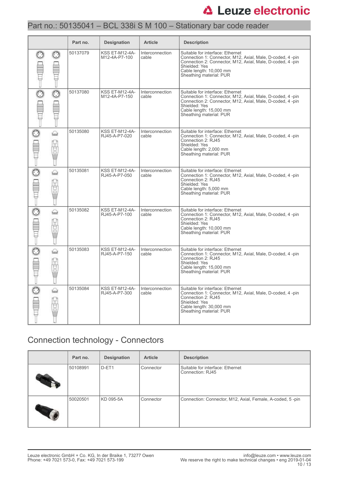## Part no.: 50135041 – BCL 338i S M 100 – Stationary bar code reader

|                         |                  | Part no. | <b>Designation</b>                     | <b>Article</b>                  | <b>Description</b>                                                                                                                                                                                                                |
|-------------------------|------------------|----------|----------------------------------------|---------------------------------|-----------------------------------------------------------------------------------------------------------------------------------------------------------------------------------------------------------------------------------|
| $\overline{\mathbb{C}}$ | $\odot$          | 50137079 | <b>KSS ET-M12-4A-</b><br>M12-4A-P7-100 | Interconnection<br>cable        | Suitable for interface: Ethernet<br>Connection 1: Connector, M12, Axial, Male, D-coded, 4-pin<br>Connection 2: Connector, M12, Axial, Male, D-coded, 4-pin<br>Shielded: Yes<br>Cable length: 10,000 mm<br>Sheathing material: PUR |
|                         | $\odot$          | 50137080 | <b>KSS ET-M12-4A-</b><br>M12-4A-P7-150 | Interconnection<br>cable        | Suitable for interface: Ethernet<br>Connection 1: Connector, M12, Axial, Male, D-coded, 4-pin<br>Connection 2: Connector, M12, Axial, Male, D-coded, 4-pin<br>Shielded: Yes<br>Cable length: 15,000 mm<br>Sheathing material: PUR |
|                         | ⇔<br>Ü<br>I      | 50135080 | <b>KSS ET-M12-4A-</b><br>RJ45-A-P7-020 | <b>Interconnection</b><br>cable | Suitable for interface: Ethernet<br>Connection 1: Connector, M12, Axial, Male, D-coded, 4-pin<br>Connection 2: RJ45<br>Shielded: Yes<br>Cable length: 2,000 mm<br>Sheathing material: PUR                                         |
|                         | ⇔<br>Ü<br>ī      | 50135081 | <b>KSS ET-M12-4A-</b><br>RJ45-A-P7-050 | Interconnection<br>cable        | Suitable for interface: Ethernet<br>Connection 1: Connector, M12, Axial, Male, D-coded, 4-pin<br>Connection 2: RJ45<br>Shielded: Yes<br>Cable length: 5,000 mm<br>Sheathing material: PUR                                         |
|                         | ⇔<br>Ū<br>ō<br>Ū | 50135082 | <b>KSS ET-M12-4A-</b><br>RJ45-A-P7-100 | Interconnection<br>cable        | Suitable for interface: Ethernet<br>Connection 1: Connector, M12, Axial, Male, D-coded, 4-pin<br>Connection 2: RJ45<br>Shielded: Yes<br>Cable length: 10,000 mm<br>Sheathing material: PUR                                        |
|                         | ⇔<br>I           | 50135083 | <b>KSS ET-M12-4A-</b><br>RJ45-A-P7-150 | Interconnection<br>cable        | Suitable for interface: Ethernet<br>Connection 1: Connector, M12, Axial, Male, D-coded, 4-pin<br>Connection 2: RJ45<br>Shielded: Yes<br>Cable length: 15,000 mm<br>Sheathing material: PUR                                        |
|                         | ♤<br>₫<br>ō      | 50135084 | <b>KSS ET-M12-4A-</b><br>RJ45-A-P7-300 | Interconnection<br>cable        | Suitable for interface: Ethernet<br>Connection 1: Connector, M12, Axial, Male, D-coded, 4-pin<br>Connection 2: RJ45<br>Shielded: Yes<br>Cable length: 30,000 mm<br>Sheathing material: PUR                                        |

## Connection technology - Connectors

| Part no. | <b>Designation</b> | <b>Article</b> | <b>Description</b>                                        |
|----------|--------------------|----------------|-----------------------------------------------------------|
| 50108991 | D-ET1              | Connector      | Suitable for interface: Ethernet<br>Connection: RJ45      |
| 50020501 | KD 095-5A          | Connector      | Connection: Connector, M12, Axial, Female, A-coded, 5-pin |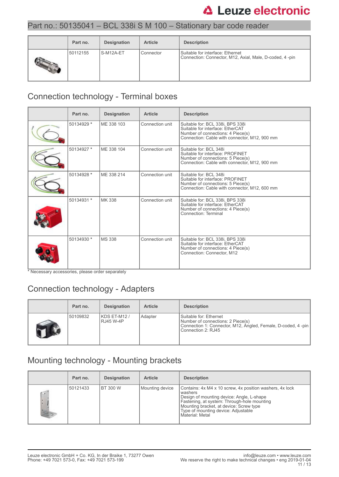### Part no.: 50135041 – BCL 338i S M 100 – Stationary bar code reader

| Part no. | Designation | <b>Article</b> | <b>Description</b>                                                                          |
|----------|-------------|----------------|---------------------------------------------------------------------------------------------|
| 50112155 | S-M12A-ET   | Connector      | Suitable for interface: Ethernet<br>Connection: Connector, M12, Axial, Male, D-coded, 4-pin |

# Connection technology - Terminal boxes

| Part no.   | <b>Designation</b> | <b>Article</b>  | <b>Description</b>                                                                                                                                         |
|------------|--------------------|-----------------|------------------------------------------------------------------------------------------------------------------------------------------------------------|
| 50134929 * | MF 338 103         | Connection unit | Suitable for: BCL 338i, BPS 338i<br>Suitable for interface: EtherCAT<br>Number of connections: 4 Piece(s)<br>Connection: Cable with connector, M12, 900 mm |
| 50134927 * | ME 338 104         | Connection unit | Suitable for: BCL 348i<br>Suitable for interface: PROFINET<br>Number of connections: 5 Piece(s)<br>Connection: Cable with connector, M12, 900 mm           |
| 50134928 * | ME 338 214         | Connection unit | Suitable for: BCL 348i<br>Suitable for interface: PROFINET<br>Number of connections: 5 Piece(s)<br>Connection: Cable with connector, M12, 600 mm           |
| 50134931 * | MK 338             | Connection unit | Suitable for: BCL 338i, BPS 338i<br>Suitable for interface: EtherCAT<br>Number of connections: 4 Piece(s)<br>Connection: Terminal                          |
| 50134930 * | <b>MS 338</b>      | Connection unit | Suitable for: BCL 338i, BPS 338i<br>Suitable for interface: EtherCAT<br>Number of connections: 4 Piece(s)<br>Connection: Connector, M12                    |

\* Necessary accessories, please order separately

## Connection technology - Adapters

| Part no. | <b>Designation</b>        | <b>Article</b> | <b>Description</b>                                                                                                                                |
|----------|---------------------------|----------------|---------------------------------------------------------------------------------------------------------------------------------------------------|
| 50109832 | KDS ET-M12 /<br>RJ45 W-4P | Adapter        | Suitable for: Ethernet<br>Number of connections: 2 Piece(s)<br>Connection 1: Connector, M12, Angled, Female, D-coded, 4-pin<br>Connection 2: RJ45 |

# Mounting technology - Mounting brackets

|                 | Part no. | <b>Designation</b> | <b>Article</b>  | <b>Description</b>                                                                                                                                                                                                                                                   |
|-----------------|----------|--------------------|-----------------|----------------------------------------------------------------------------------------------------------------------------------------------------------------------------------------------------------------------------------------------------------------------|
| $\sqrt{2}$<br>× | 50121433 | <b>BT 300 W</b>    | Mounting device | Contains: 4x M4 x 10 screw, 4x position washers, 4x lock<br>washers<br>Design of mounting device: Angle, L-shape<br>Fastening, at system: Through-hole mounting<br>Mounting bracket, at device: Screw type<br>Type of mounting device: Adjustable<br>Material: Metal |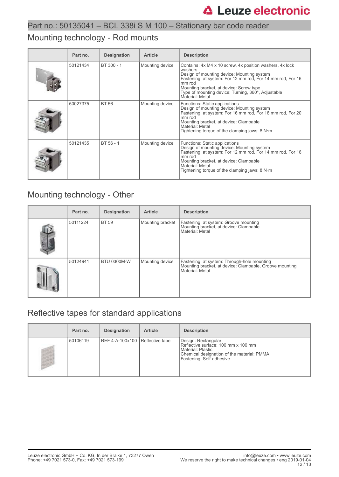### Mounting technology - Rod mounts

| Part no. | <b>Designation</b> | <b>Article</b>  | <b>Description</b>                                                                                                                                                                                                                                                                                            |
|----------|--------------------|-----------------|---------------------------------------------------------------------------------------------------------------------------------------------------------------------------------------------------------------------------------------------------------------------------------------------------------------|
| 50121434 | BT 300 - 1         | Mounting device | Contains: 4x M4 x 10 screw, 4x position washers, 4x lock<br>washers<br>Design of mounting device: Mounting system<br>Fastening, at system: For 12 mm rod, For 14 mm rod, For 16<br>mm rod<br>Mounting bracket, at device: Screw type<br>Type of mounting device: Turning, 360°, Adjustable<br>Material: Metal |
| 50027375 | <b>BT 56</b>       | Mounting device | Functions: Static applications<br>Design of mounting device: Mounting system<br>Fastening, at system: For 16 mm rod, For 18 mm rod, For 20<br>mm rod<br>Mounting bracket, at device: Clampable<br>Material: Metal<br>Tightening torque of the clamping jaws: $8 N·m$                                          |
| 50121435 | BT 56 - 1          | Mounting device | Functions: Static applications<br>Design of mounting device: Mounting system<br>Fastening, at system: For 12 mm rod, For 14 mm rod, For 16<br>mm rod<br>Mounting bracket, at device: Clampable<br>Material: Metal<br>Tightening torque of the clamping jaws: $8 N·m$                                          |

### Mounting technology - Other

| Part no. | <b>Designation</b> | <b>Article</b>   | <b>Description</b>                                                                                                        |
|----------|--------------------|------------------|---------------------------------------------------------------------------------------------------------------------------|
| 50111224 | <b>BT 59</b>       | Mounting bracket | Fastening, at system: Groove mounting<br>Mounting bracket, at device: Clampable<br>Material: Metal                        |
| 50124941 | <b>BTU 0300M-W</b> | Mounting device  | Fastening, at system: Through-hole mounting<br>Mounting bracket, at device: Clampable, Groove mounting<br>Material: Metal |

## Reflective tapes for standard applications

| Part no. | <b>Designation</b>              | <b>Article</b> | <b>Description</b>                                                                                                                                          |
|----------|---------------------------------|----------------|-------------------------------------------------------------------------------------------------------------------------------------------------------------|
| 50106119 | REF 4-A-100x100 Reflective tape |                | Design: Rectangular<br>Reflective surface: 100 mm x 100 mm<br>l Material: Plastic<br>Chemical designation of the material: PMMA<br>Fastening: Self-adhesive |